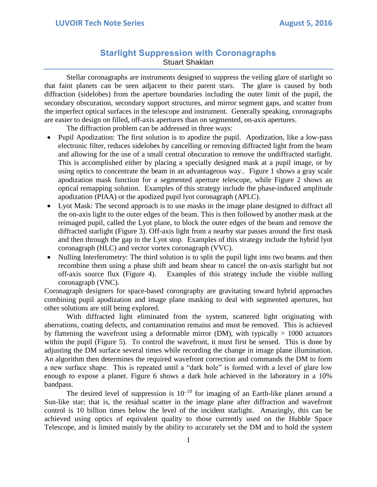## **Starlight Suppression with Coronagraphs** Stuart Shaklan

Stellar coronagraphs are instruments designed to suppress the veiling glare of starlight so that faint planets can be seen adjacent to their parent stars. The glare is caused by both diffraction (sidelobes) from the aperture boundaries including the outer limit of the pupil, the secondary obscuration, secondary support structures, and mirror segment gaps, and scatter from the imperfect optical surfaces in the telescope and instrument. Generally speaking, coronagraphs are easier to design on filled, off-axis apertures than on segmented, on-axis apertures.

The diffraction problem can be addressed in three ways:

- Pupil Apodization: The first solution is to apodize the pupil. Apodization, like a low-pass electronic filter, reduces sidelobes by cancelling or removing diffracted light from the beam and allowing for the use of a small central obscuration to remove the undiffracted starlight. This is accomplished either by placing a specially designed mask at a pupil image, or by using optics to concentrate the beam in an advantageous way.. Figure 1 shows a gray scale apodization mask function for a segmented aperture telescope, while Figure 2 shows an optical remapping solution. Examples of this strategy include the phase-induced amplitude apodization (PIAA) or the apodized pupil lyot coronagraph (APLC).
- Lyot Mask: The second approach is to use masks in the image plane designed to diffract all the on-axis light to the outer edges of the beam. This is then followed by another mask at the reimaged pupil, called the Lyot plane, to block the outer edges of the beam and remove the diffracted starlight (Figure 3). Off-axis light from a nearby star passes around the first mask and then through the gap in the Lyot stop. Examples of this strategy include the hybrid lyot coronagraph (HLC) and vector vortex coronagraph (VVC).
- Nulling Interferometry: The third solution is to split the pupil light into two beams and then recombine them using a phase shift and beam shear to cancel the on-axis starlight but not off-axis source flux (Figure 4). Examples of this strategy include the visible nulling coronagraph (VNC).

Coronagraph designers for space-based corongraphy are gravitating toward hybrid approaches combining pupil apodization and image plane masking to deal with segmented apertures, but other solutions are still being explored.

With diffracted light eliminated from the system, scattered light originating with aberrations, coating defects, and contamination remains and must be removed. This is achieved by flattening the wavefront using a deformable mirror (DM), with typically  $> 1000$  actuators within the pupil (Figure 5). To control the wavefront, it must first be sensed. This is done by adjusting the DM surface several times while recording the change in image plane illumination. An algorithm then determines the required wavefront correction and commands the DM to form a new surface shape. This is repeated until a "dark hole" is formed with a level of glare low enough to expose a planet. Figure 6 shows a dark hole achieved in the laboratory in a 10% bandpass.

The desired level of suppression is  $10^{-10}$  for imaging of an Earth-like planet around a Sun-like star; that is, the residual scatter in the image plane after diffraction and wavefront control is 10 billion times below the level of the incident starlight. Amazingly, this can be achieved using optics of equivalent quality to those currently used on the Hubble Space Telescope, and is limited mainly by the ability to accurately set the DM and to hold the system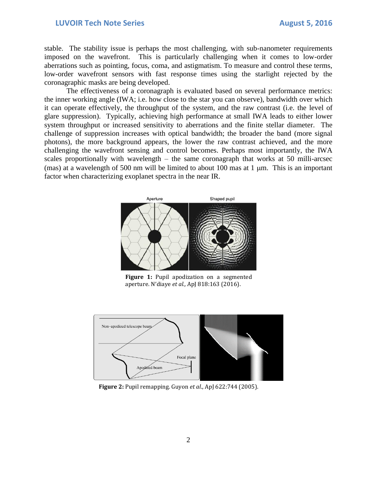## **LUVOIR Tech Note Series August 5, 2016**

stable. The stability issue is perhaps the most challenging, with sub-nanometer requirements imposed on the wavefront. This is particularly challenging when it comes to low-order aberrations such as pointing, focus, coma, and astigmatism. To measure and control these terms, low-order wavefront sensors with fast response times using the starlight rejected by the coronagraphic masks are being developed.

The effectiveness of a coronagraph is evaluated based on several performance metrics: the inner working angle (IWA; i.e. how close to the star you can observe), bandwidth over which it can operate effectively, the throughput of the system, and the raw contrast (i.e. the level of glare suppression). Typically, achieving high performance at small IWA leads to either lower system throughput or increased sensitivity to aberrations and the finite stellar diameter. The challenge of suppression increases with optical bandwidth; the broader the band (more signal photons), the more background appears, the lower the raw contrast achieved, and the more challenging the wavefront sensing and control becomes. Perhaps most importantly, the IWA scales proportionally with wavelength – the same coronagraph that works at 50 milli-arcsec (mas) at a wavelength of 500 nm will be limited to about 100 mas at 1  $\mu$ m. This is an important factor when characterizing exoplanet spectra in the near IR.



**Figure 1:** Pupil apodization on a segmented aperture. N'diaye *et al.,* ApJ 818:163 (2016).



**Figure 2:** Pupil remapping. Guyon *et al*., ApJ 622:744 (2005).